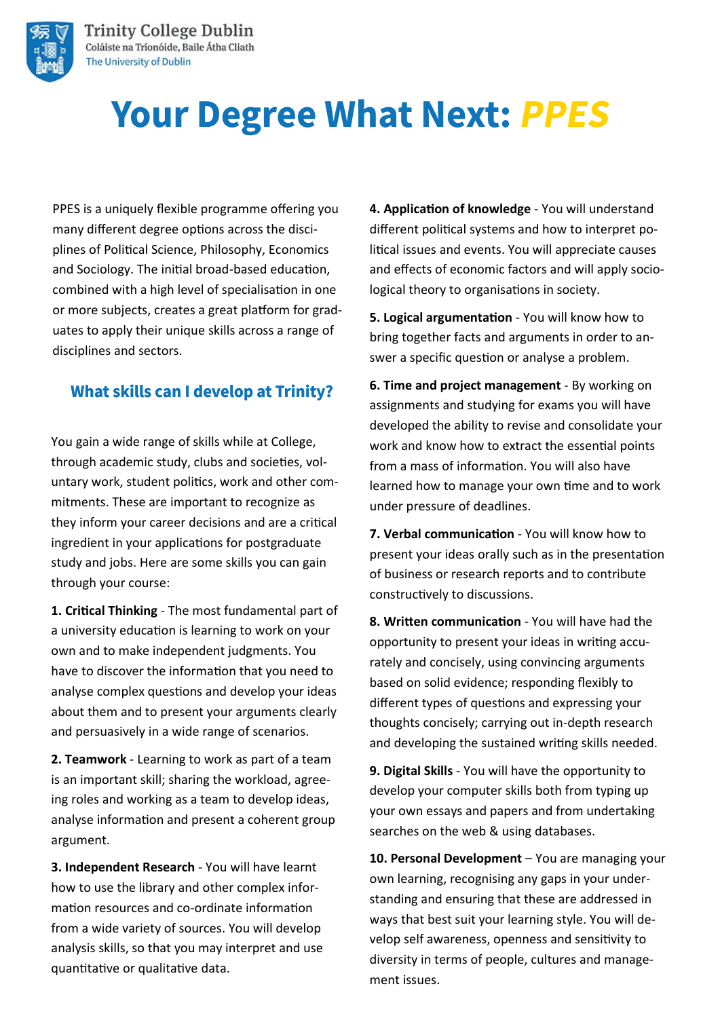

# **Your Degree What Next: PPES**

PPES is a uniquely flexible programme offering you many different degree options across the disciplines of Political Science, Philosophy, Economics and Sociology. The initial broad-based education, combined with a high level of specialisation in one or more subjects, creates a great platform for graduates to apply their unique skills across a range of disciplines and sectors.

#### **What skills can I develop at Trinity?**

You gain a wide range of skills while at College, through academic study, clubs and societies, voluntary work, student politics, work and other commitments. These are important to recognize as they inform your career decisions and are a critical ingredient in your applications for postgraduate study and jobs. Here are some skills you can gain through your course:

**1. Critical Thinking** - The most fundamental part of a university education is learning to work on your own and to make independent judgments. You have to discover the information that you need to analyse complex questions and develop your ideas about them and to present your arguments clearly and persuasively in a wide range of scenarios.

**2. Teamwork** - Learning to work as part of a team is an important skill; sharing the workload, agreeing roles and working as a team to develop ideas, analyse information and present a coherent group argument.

**3. Independent Research** - You will have learnt how to use the library and other complex information resources and co-ordinate information from a wide variety of sources. You will develop analysis skills, so that you may interpret and use quantitative or qualitative data.

**4. Application of knowledge** - You will understand different political systems and how to interpret political issues and events. You will appreciate causes and effects of economic factors and will apply sociological theory to organisations in society.

**5. Logical argumentation** - You will know how to bring together facts and arguments in order to answer a specific question or analyse a problem.

**6. Time and project management** - By working on assignments and studying for exams you will have developed the ability to revise and consolidate your work and know how to extract the essential points from a mass of information. You will also have learned how to manage your own time and to work under pressure of deadlines.

**7. Verbal communication** - You will know how to present your ideas orally such as in the presentation of business or research reports and to contribute constructively to discussions.

**8. Written communication** - You will have had the opportunity to present your ideas in writing accurately and concisely, using convincing arguments based on solid evidence; responding flexibly to different types of questions and expressing your thoughts concisely; carrying out in-depth research and developing the sustained writing skills needed.

**9. Digital Skills** - You will have the opportunity to develop your computer skills both from typing up your own essays and papers and from undertaking searches on the web & using databases.

10. Personal Development - You are managing your own learning, recognising any gaps in your understanding and ensuring that these are addressed in ways that best suit your learning style. You will develop self awareness, openness and sensitivity to diversity in terms of people, cultures and management issues.